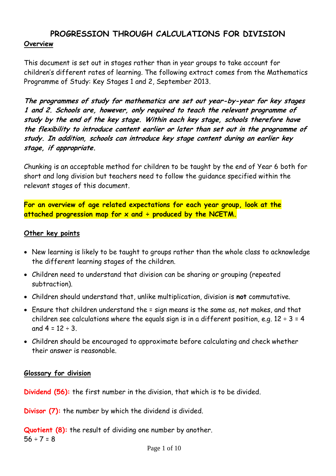# **PROGRESSION THROUGH CALCULATIONS FOR DIVISION**

#### **Overview**

This document is set out in stages rather than in year groups to take account for children's different rates of learning. The following extract comes from the Mathematics Programme of Study: Key Stages 1 and 2, September 2013.

**The programmes of study for mathematics are set out year-by-year for key stages 1 and 2. Schools are, however, only required to teach the relevant programme of study by the end of the key stage. Within each key stage, schools therefore have the flexibility to introduce content earlier or later than set out in the programme of study. In addition, schools can introduce key stage content during an earlier key stage, if appropriate.**

Chunking is an acceptable method for children to be taught by the end of Year 6 both for short and long division but teachers need to follow the guidance specified within the relevant stages of this document.

**For an overview of age related expectations for each year group, look at the**  attached progression map for x and ÷ produced by the NCETM.

#### **Other key points**

- New learning is likely to be taught to groups rather than the whole class to acknowledge the different learning stages of the children.
- Children need to understand that division can be sharing or grouping (repeated subtraction).
- Children should understand that, unlike multiplication, division is **not** commutative.
- Ensure that children understand the = sign means is the same as, not makes, and that children see calculations where the equals sign is in a different position, e.g.  $12 \div 3 = 4$ and  $4 = 12 \div 3$ .
- Children should be encouraged to approximate before calculating and check whether their answer is reasonable.

#### **Glossary for division**

**Dividend (56):** the first number in the division, that which is to be divided.

**Divisor (7):** the number by which the dividend is divided.

**Quotient (8):** the result of dividing one number by another.  $56 \div 7 = 8$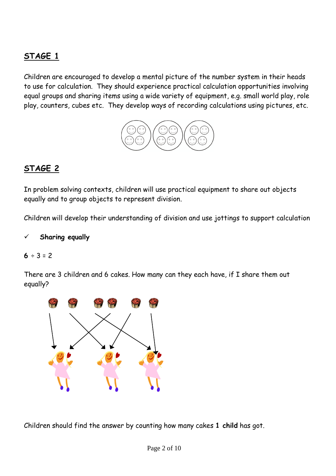## **STAGE 1**

Children are encouraged to develop a mental picture of the number system in their heads to use for calculation. They should experience practical calculation opportunities involving equal groups and sharing items using a wide variety of equipment, e.g. small world play, role play, counters, cubes etc. They develop ways of recording calculations using pictures, etc.



## **STAGE 2**

In problem solving contexts, children will use practical equipment to share out objects equally and to group objects to represent division.

Children will develop their understanding of division and use jottings to support calculation

#### **Sharing equally**

#### $6 ÷ 3 = 2$

There are 3 children and 6 cakes. How many can they each have, if I share them out equally?



Children should find the answer by counting how many cakes **1 child** has got.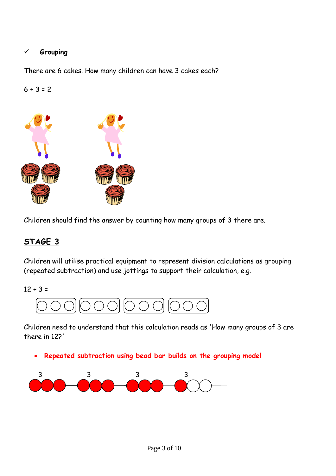#### **Grouping**

There are 6 cakes. How many children can have 3 cakes each?

 $6 ÷ 3 = 2$ 



Children should find the answer by counting how many groups of 3 there are.

## **STAGE 3**

Children will utilise practical equipment to represent division calculations as grouping (repeated subtraction) and use jottings to support their calculation, e.g.

 $12 \div 3 =$ 



Children need to understand that this calculation reads as 'How many groups of 3 are there in 12?'

**Repeated subtraction using bead bar builds on the grouping model**

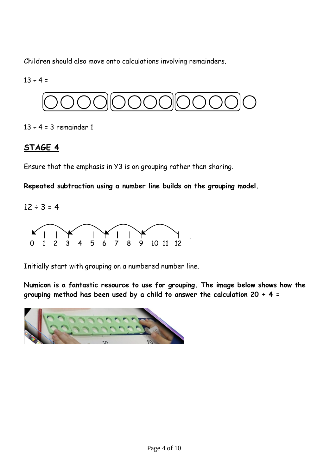Children should also move onto calculations involving remainders.

 $13 \div 4 =$ 



 $13 \div 4 = 3$  remainder 1

## **STAGE 4**

Ensure that the emphasis in Y3 is on grouping rather than sharing.

**Repeated subtraction using a number line builds on the grouping model.** 

 $12 \div 3 = 4$ 



Initially start with grouping on a numbered number line.

**Numicon is a fantastic resource to use for grouping. The image below shows how the grouping method has been used by a child to answer the calculation 20 ÷ 4 =**

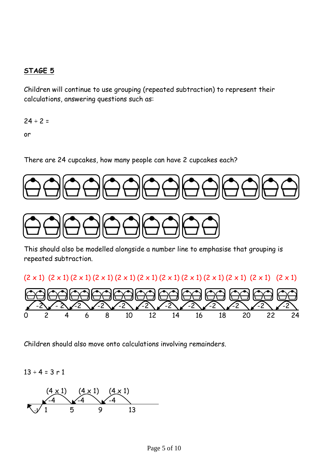### **STAGE 5**

Children will continue to use grouping (repeated subtraction) to represent their calculations, answering questions such as:

 $24 \div 2 =$ 

or

There are 24 cupcakes, how many people can have 2 cupcakes each?



This should also be modelled alongside a number line to emphasise that grouping is repeated subtraction.



Children should also move onto calculations involving remainders.

 $13 \div 4 = 3 \text{ r } 1$ 

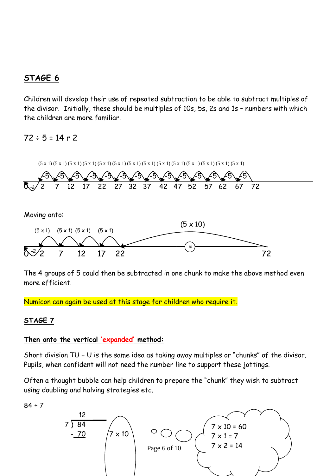## **STAGE 6**

Children will develop their use of repeated subtraction to be able to subtract multiples of the divisor. Initially, these should be multiples of 10s, 5s, 2s and 1s – numbers with which the children are more familiar.

## $72 \div 5 = 14$  r 2



The 4 groups of 5 could then be subtracted in one chunk to make the above method even more efficient.

Numicon can again be used at this stage for children who require it.

### **STAGE 7**

#### **Then onto the vertical 'expanded' method:**  Ξ

Short division TU  $\div$  U is the same idea as taking away multiples or "chunks" of the divisor. Pupils, when confident will not need the number line to support these jottings.

Often a thought bubble can help children to prepare the "chunk" they wish to subtract using doubling and halving strategies etc.

 $84 \div 7$ 

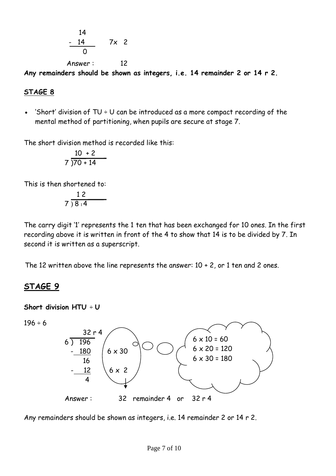$$
\begin{array}{c}\n 14 \\
-14 \\
\hline\n 0\n \end{array}\n \quad 7 \times 2
$$

Answer : 12 **Any remainders should be shown as integers, i.e. 14 remainder 2 or 14 r 2.**

#### **STAGE 8**

'Short' division of  $TU + U$  can be introduced as a more compact recording of the mental method of partitioning, when pupils are secure at stage 7.

The short division method is recorded like this:

$$
\frac{10 + 2}{7 \cdot 70 + 14}
$$

This is then shortened to:

$$
\begin{array}{c}\n 12 \\
\hline\n 7 \overline{\smash)8 \scriptstyle14}\n \end{array}
$$

The carry digit '1' represents the 1 ten that has been exchanged for 10 ones. In the first recording above it is written in front of the 4 to show that 14 is to be divided by 7. In second it is written as a superscript.

The 12 written above the line represents the answer:  $10 + 2$ , or 1 ten and 2 ones.

## **STAGE 9**

**Short division HTU** ÷ **U**

 $196 \div 6$ 



Any remainders should be shown as integers, i.e. 14 remainder 2 or 14 r 2.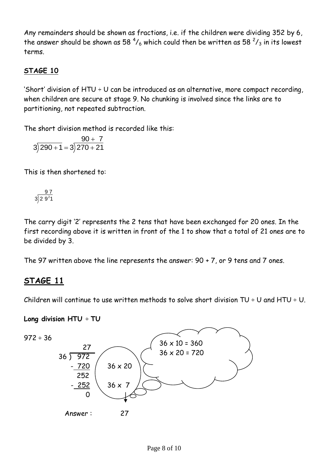Any remainders should be shown as fractions, i.e. if the children were dividing 352 by 6, the answer should be shown as 58  $^4\prime_6$  which could then be written as 58  $^2\prime_3$  in its lowest terms.

## **STAGE 10**

'Short' division of  $HTU \div U$  can be introduced as an alternative, more compact recording, when children are secure at stage 9. No chunking is involved since the links are to partitioning, not repeated subtraction.

The short division method is recorded like this:

$$
3\overline{)290+1}=3\overline{)270+21}
$$

This is then shortened to:

$$
\frac{97}{3\overline{)29^21}}
$$

The carry digit '2' represents the 2 tens that have been exchanged for 20 ones. In the first recording above it is written in front of the 1 to show that a total of 21 ones are to be divided by 3.

The 97 written above the line represents the answer: 90 + 7, or 9 tens and 7 ones.

## **STAGE 11**

Children will continue to use written methods to solve short division TU  $\div$  U and HTU  $\div$  U.

**Long division HTU** ÷ **TU**

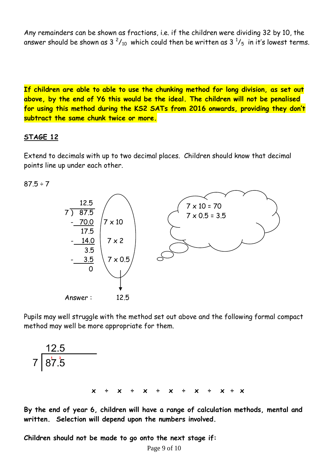Any remainders can be shown as fractions, i.e. if the children were dividing 32 by 10, the answer should be shown as 3  $^2\prime_{10}$  which could then be written as 3  $^1\prime_5$  in it's lowest terms.

**If children are able to able to use the chunking method for long division, as set out above, by the end of Y6 this would be the ideal. The children will not be penalised for using this method during the KS2 SATs from 2016 onwards, providing they don't subtract the same chunk twice or more.**

#### **STAGE 12**

Extend to decimals with up to two decimal places. Children should know that decimal points line up under each other.

 $87.5 \div 7$ 



Pupils may well struggle with the method set out above and the following formal compact method may well be more appropriate for them.

$$
7\overline{)3^{12.5}
$$
\n
$$
x \div x \div x \div x \div x \div x \div x
$$

**By the end of year 6, children will have a range of calculation methods, mental and written. Selection will depend upon the numbers involved.**

**Children should not be made to go onto the next stage if:**